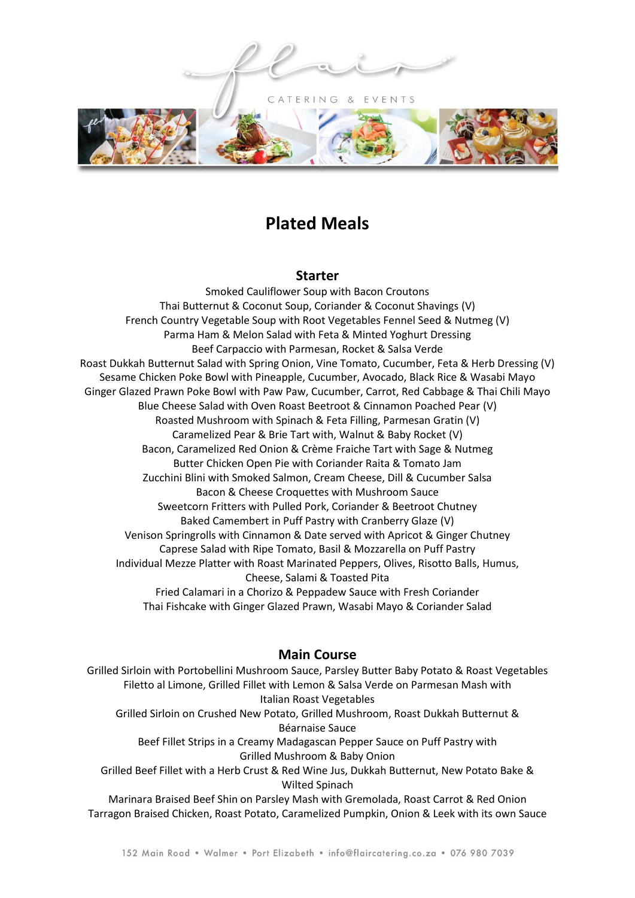CATERING & EVENTS



## **Plated Meals**

## **Starter**

Smoked Cauliflower Soup with Bacon Croutons Thai Butternut & Coconut Soup, Coriander & Coconut Shavings (V) French Country Vegetable Soup with Root Vegetables Fennel Seed & Nutmeg (V) Parma Ham & Melon Salad with Feta & Minted Yoghurt Dressing Beef Carpaccio with Parmesan, Rocket & Salsa Verde Roast Dukkah Butternut Salad with Spring Onion, Vine Tomato, Cucumber, Feta & Herb Dressing (V) Sesame Chicken Poke Bowl with Pineapple, Cucumber, Avocado, Black Rice & Wasabi Mayo Ginger Glazed Prawn Poke Bowl with Paw Paw, Cucumber, Carrot, Red Cabbage & Thai Chili Mayo Blue Cheese Salad with Oven Roast Beetroot & Cinnamon Poached Pear (V) Roasted Mushroom with Spinach & Feta Filling, Parmesan Gratin (V) Caramelized Pear & Brie Tart with, Walnut & Baby Rocket (V) Bacon, Caramelized Red Onion & Crème Fraiche Tart with Sage & Nutmeg Butter Chicken Open Pie with Coriander Raita & Tomato Jam Zucchini Blini with Smoked Salmon, Cream Cheese, Dill & Cucumber Salsa Bacon & Cheese Croquettes with Mushroom Sauce Sweetcorn Fritters with Pulled Pork, Coriander & Beetroot Chutney Baked Camembert in Puff Pastry with Cranberry Glaze (V) Venison Springrolls with Cinnamon & Date served with Apricot & Ginger Chutney Caprese Salad with Ripe Tomato, Basil & Mozzarella on Puff Pastry Individual Mezze Platter with Roast Marinated Peppers, Olives, Risotto Balls, Humus, Cheese, Salami & Toasted Pita Fried Calamari in a Chorizo & Peppadew Sauce with Fresh Coriander Thai Fishcake with Ginger Glazed Prawn, Wasabi Mayo & Coriander Salad

## **Main Course**

Grilled Sirloin with Portobellini Mushroom Sauce, Parsley Butter Baby Potato & Roast Vegetables Filetto al Limone, Grilled Fillet with Lemon & Salsa Verde on Parmesan Mash with Italian Roast Vegetables Grilled Sirloin on Crushed New Potato, Grilled Mushroom, Roast Dukkah Butternut & Béarnaise Sauce Beef Fillet Strips in a Creamy Madagascan Pepper Sauce on Puff Pastry with Grilled Mushroom & Baby Onion Grilled Beef Fillet with a Herb Crust & Red Wine Jus, Dukkah Butternut, New Potato Bake & Wilted Spinach Marinara Braised Beef Shin on Parsley Mash with Gremolada, Roast Carrot & Red Onion Tarragon Braised Chicken, Roast Potato, Caramelized Pumpkin, Onion & Leek with its own Sauce